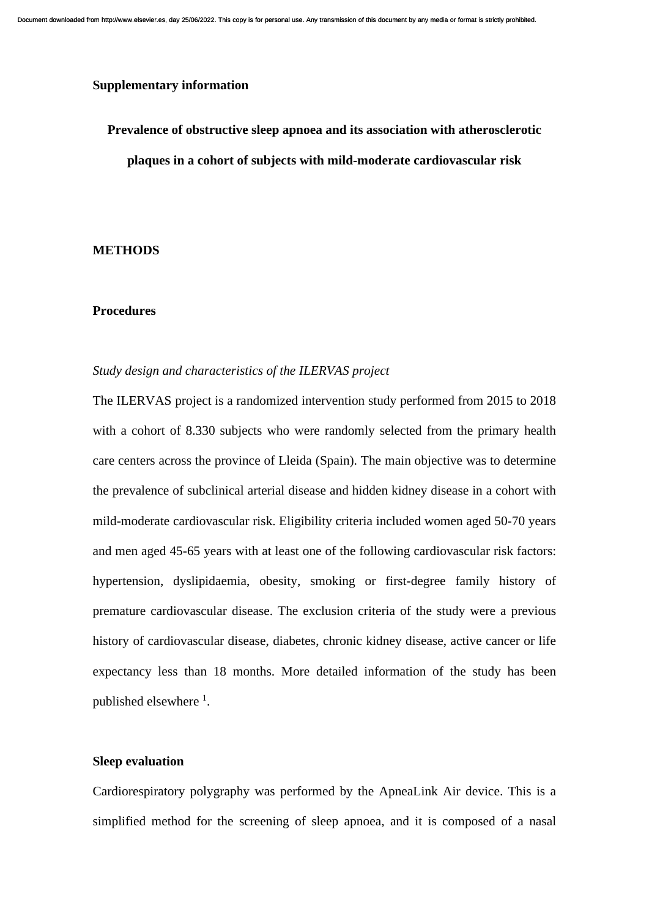# **Supplementary information**

**Prevalence of obstructive sleep apnoea and its association with atherosclerotic plaques in a cohort of subjects with mild-moderate cardiovascular risk**

#### **METHODS**

#### **Procedures**

### *Study design and characteristics of the ILERVAS project*

The ILERVAS project is a randomized intervention study performed from 2015 to 2018 with a cohort of 8.330 subjects who were randomly selected from the primary health care centers across the province of Lleida (Spain). The main objective was to determine the prevalence of subclinical arterial disease and hidden kidney disease in a cohort with mild-moderate cardiovascular risk. Eligibility criteria included women aged 50-70 years and men aged 45-65 years with at least one of the following cardiovascular risk factors: hypertension, dyslipidaemia, obesity, smoking or first-degree family history of premature cardiovascular disease. The exclusion criteria of the study were a previous history of cardiovascular disease, diabetes, chronic kidney disease, active cancer or life expectancy less than 18 months. More detailed information of the study has been published elsewhere <sup>1</sup>.

## **Sleep evaluation**

Cardiorespiratory polygraphy was performed by the ApneaLink Air device. This is a simplified method for the screening of sleep apnoea, and it is composed of a nasal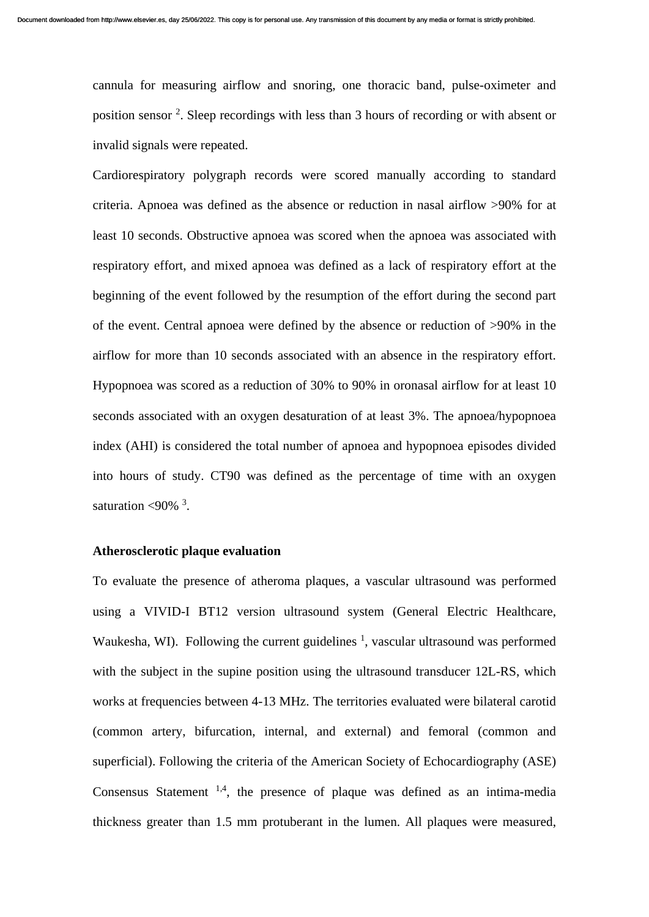cannula for measuring airflow and snoring, one thoracic band, pulse-oximeter and position sensor <sup>2</sup>. Sleep recordings with less than 3 hours of recording or with absent or invalid signals were repeated.

Cardiorespiratory polygraph records were scored manually according to standard criteria. Apnoea was defined as the absence or reduction in nasal airflow >90% for at least 10 seconds. Obstructive apnoea was scored when the apnoea was associated with respiratory effort, and mixed apnoea was defined as a lack of respiratory effort at the beginning of the event followed by the resumption of the effort during the second part of the event. Central apnoea were defined by the absence or reduction of >90% in the airflow for more than 10 seconds associated with an absence in the respiratory effort. Hypopnoea was scored as a reduction of 30% to 90% in oronasal airflow for at least 10 seconds associated with an oxygen desaturation of at least 3%. The apnoea/hypopnoea index (AHI) is considered the total number of apnoea and hypopnoea episodes divided into hours of study. CT90 was defined as the percentage of time with an oxygen saturation  $\langle 90\% \rangle^3$ .

### **Atherosclerotic plaque evaluation**

To evaluate the presence of atheroma plaques, a vascular ultrasound was performed using a VIVID-I BT12 version ultrasound system (General Electric Healthcare, Waukesha, WI). Following the current guidelines  $\frac{1}{2}$ , vascular ultrasound was performed with the subject in the supine position using the ultrasound transducer 12L-RS, which works at frequencies between 4-13 MHz. The territories evaluated were bilateral carotid (common artery, bifurcation, internal, and external) and femoral (common and superficial). Following the criteria of the American Society of Echocardiography (ASE) Consensus Statement  $^{1,4}$ , the presence of plaque was defined as an intima-media thickness greater than 1.5 mm protuberant in the lumen. All plaques were measured,